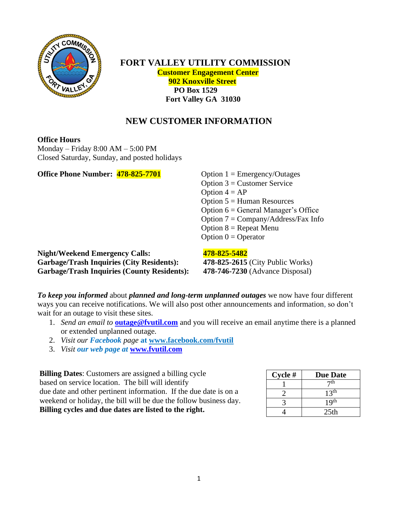

 **FORT VALLEY UTILITY COMMISSION Customer Engagement Center 902 Knoxville Street PO Box 1529 Fort Valley GA 31030**

# **NEW CUSTOMER INFORMATION**

#### **Office Hours**

Monday – Friday 8:00 AM – 5:00 PM Closed Saturday, Sunday, and posted holidays

**Office Phone Number:** 478-825-7701 Option 1 = Emergency/Outages

Option  $3 =$  Customer Service Option  $4 = AP$ Option  $5 =$  Human Resources Option  $6 = \text{General Manager's Office}$ Option  $7 = \text{Company/Address/Fax Info}$ Option  $8$  = Repeat Menu Option  $0 =$  Operator

**Night/Weekend Emergency Calls: 478-825-5482 Garbage/Trash Inquiries (City Residents): 478-825-2615** (City Public Works) **Garbage/Trash Inquiries (County Residents): 478-746-7230** (Advance Disposal)

*To keep you informed* about *planned and long-term unplanned outages* we now have four different ways you can receive notifications. We will also post other announcements and information, so don't wait for an outage to visit these sites.

- 1. *Send an email to* **[outage@fvutil.com](mailto:outage@fvutil.com)** and you will receive an email anytime there is a planned or extended unplanned outage.
- 2. *Visit our Facebook page* **at [www.facebook.com/fvutil](http://www.facebook.com/fvutil)**
- 3. *Visit our web page at* **[www.fvutil.com](http://www.fvutil.com/)**

**Billing Dates**: Customers are assigned a billing cycle based on service location. The bill will identify due date and other pertinent information. If the due date is on a weekend or holiday, the bill will be due the follow business day. **Billing cycles and due dates are listed to the right.**

| Cycle# | <b>Due Date</b>  |
|--------|------------------|
|        | 7 <sup>th</sup>  |
|        | 13 <sup>th</sup> |
|        | 19 <sup>th</sup> |
|        | 25 <sub>th</sub> |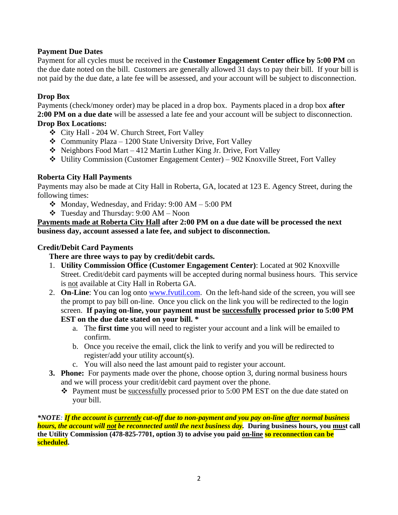# **Payment Due Dates**

Payment for all cycles must be received in the **Customer Engagement Center office by 5:00 PM** on the due date noted on the bill. Customers are generally allowed 31 days to pay their bill. If your bill is not paid by the due date, a late fee will be assessed, and your account will be subject to disconnection.

# **Drop Box**

Payments (check/money order) may be placed in a drop box. Payments placed in a drop box **after 2:00 PM on a due date** will be assessed a late fee and your account will be subject to disconnection. **Drop Box Locations:** 

- ❖ City Hall 204 W. Church Street, Fort Valley
- ❖ Community Plaza 1200 State University Drive, Fort Valley
- $\triangleleft$  Neighbors Food Mart 412 Martin Luther King Jr. Drive, Fort Valley
- ❖ Utility Commission (Customer Engagement Center) 902 Knoxville Street, Fort Valley

# **Roberta City Hall Payments**

Payments may also be made at City Hall in Roberta, GA, located at 123 E. Agency Street, during the following times:

- $\div$  Monday, Wednesday, and Friday: 9:00 AM 5:00 PM
- $\div$  Tuesday and Thursday: 9:00 AM Noon

#### **Payments made at Roberta City Hall after 2:00 PM on a due date will be processed the next business day, account assessed a late fee, and subject to disconnection.**

# **Credit/Debit Card Payments**

# **There are three ways to pay by credit/debit cards.**

- 1. **Utility Commission Office (Customer Engagement Center)**: Located at 902 Knoxville Street. Credit/debit card payments will be accepted during normal business hours. This service is not available at City Hall in Roberta GA.
- 2. **On-Line**: You can log onto [www.fvutil.com.](http://www.fvutil.com/) On the left-hand side of the screen, you will see the prompt to pay bill on-line. Once you click on the link you will be redirected to the login screen. **If paying on-line, your payment must be successfully processed prior to 5:00 PM EST on the due date stated on your bill. \***
	- a. The **first time** you will need to register your account and a link will be emailed to confirm.
	- b. Once you receive the email, click the link to verify and you will be redirected to register/add your utility account(s).
	- c. You will also need the last amount paid to register your account.
- **3. Phone:** For payments made over the phone, choose option 3, during normal business hours and we will process your credit/debit card payment over the phone.
	- ❖ Payment must be successfully processed prior to 5:00 PM EST on the due date stated on your bill.

*\*NOTE: If the account is currently cut-off due to non-payment and you pay on-line after normal business hours, the account will not be reconnected until the next business day.* **During business hours, you must call the Utility Commission (478-825-7701, option 3) to advise you paid on-line so reconnection can be scheduled.**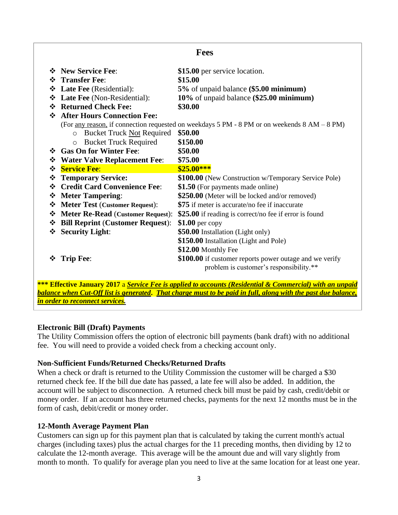| <b>Fees</b>                                                                                  |                                                |                                                         |  |  |  |
|----------------------------------------------------------------------------------------------|------------------------------------------------|---------------------------------------------------------|--|--|--|
|                                                                                              | ❖ New Service Fee:                             | \$15.00 per service location.                           |  |  |  |
|                                                                                              | † Transfer Fee:                                | \$15.00                                                 |  |  |  |
|                                                                                              | <b>Example 3</b> Late Fee (Residential):       | 5% of unpaid balance (\$5.00 minimum)                   |  |  |  |
|                                                                                              | ❖ Late Fee (Non-Residential):                  | 10% of unpaid balance (\$25.00 minimum)                 |  |  |  |
|                                                                                              | ❖ Returned Check Fee:                          | \$30.00                                                 |  |  |  |
|                                                                                              | ❖ After Hours Connection Fee:                  |                                                         |  |  |  |
| (For any reason, if connection requested on weekdays 5 PM - 8 PM or on weekends 8 AM - 8 PM) |                                                |                                                         |  |  |  |
|                                                                                              | <b>Bucket Truck Not Required</b><br>$\bigcirc$ | \$50.00                                                 |  |  |  |
|                                                                                              | <b>Bucket Truck Required</b><br>$\circ$        | \$150.00                                                |  |  |  |
|                                                                                              | Gas On for Winter Fee:                         | \$50.00                                                 |  |  |  |
|                                                                                              | ❖ Water Valve Replacement Fee:                 | \$75.00                                                 |  |  |  |
|                                                                                              | <b>☆</b> Service Fee:                          | $$25.00***$                                             |  |  |  |
| ❖                                                                                            | <b>Temporary Service:</b>                      | \$100.00 (New Construction w/Temporary Service Pole)    |  |  |  |
|                                                                                              | ❖ Credit Card Convenience Fee:                 | \$1.50 (For payments made online)                       |  |  |  |
|                                                                                              | ❖ Meter Tampering:                             | \$250.00 (Meter will be locked and/or removed)          |  |  |  |
|                                                                                              | ❖ Meter Test (Customer Request):               | \$75 if meter is accurate/no fee if inaccurate          |  |  |  |
|                                                                                              | ❖ Meter Re-Read (Customer Request):            | \$25.00 if reading is correct/no fee if error is found  |  |  |  |
|                                                                                              | ❖ Bill Reprint (Customer Request):             | \$1.00 per copy                                         |  |  |  |
|                                                                                              | ❖ Security Light:                              | \$50.00 Installation (Light only)                       |  |  |  |
|                                                                                              |                                                | \$150.00 Installation (Light and Pole)                  |  |  |  |
|                                                                                              |                                                | \$12.00 Monthly Fee                                     |  |  |  |
| ❖                                                                                            | <b>Trip Fee:</b>                               | \$100.00 if customer reports power outage and we verify |  |  |  |
|                                                                                              |                                                | problem is customer's responsibility.**                 |  |  |  |

**\*\*\* Effective January 2017** a *Service Fee is applied to accounts (Residential & Commercial) with an unpaid balance when Cut-Off list is generated***.** *That charge must to be paid in full, along with the past due balance, in order to reconnect services.*

#### **Electronic Bill (Draft) Payments**

The Utility Commission offers the option of electronic bill payments (bank draft) with no additional fee. You will need to provide a voided check from a checking account only.

#### **Non-Sufficient Funds/Returned Checks/Returned Drafts**

When a check or draft is returned to the Utility Commission the customer will be charged a \$30 returned check fee. If the bill due date has passed, a late fee will also be added. In addition, the account will be subject to disconnection. A returned check bill must be paid by cash, credit/debit or money order. If an account has three returned checks, payments for the next 12 months must be in the form of cash, debit/credit or money order.

# **12-Month Average Payment Plan**

Customers can sign up for this payment plan that is calculated by taking the current month's actual charges (including taxes) plus the actual charges for the 11 preceding months, then dividing by 12 to calculate the 12-month average. This average will be the amount due and will vary slightly from month to month. To qualify for average plan you need to live at the same location for at least one year.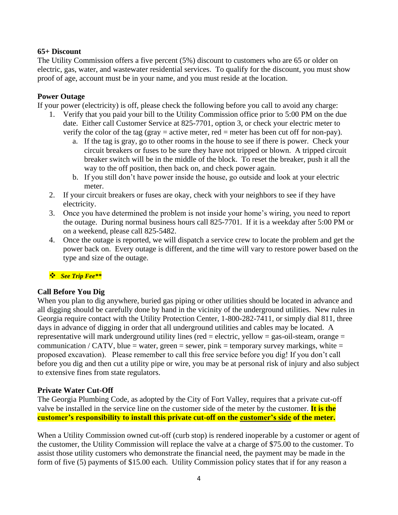# **65+ Discount**

The Utility Commission offers a five percent (5%) discount to customers who are 65 or older on electric, gas, water, and wastewater residential services. To qualify for the discount, you must show proof of age, account must be in your name, and you must reside at the location.

# **Power Outage**

If your power (electricity) is off, please check the following before you call to avoid any charge:

- 1. Verify that you paid your bill to the Utility Commission office prior to 5:00 PM on the due date. Either call Customer Service at 825-7701, option 3, or check your electric meter to verify the color of the tag (gray = active meter, red = meter has been cut off for non-pay).
	- a. If the tag is gray, go to other rooms in the house to see if there is power. Check your circuit breakers or fuses to be sure they have not tripped or blown. A tripped circuit breaker switch will be in the middle of the block. To reset the breaker, push it all the way to the off position, then back on, and check power again.
	- b. If you still don't have power inside the house, go outside and look at your electric meter.
- 2. If your circuit breakers or fuses are okay, check with your neighbors to see if they have electricity.
- 3. Once you have determined the problem is not inside your home's wiring, you need to report the outage. During normal business hours call 825-7701. If it is a weekday after 5:00 PM or on a weekend, please call 825-5482.
- 4. Once the outage is reported, we will dispatch a service crew to locate the problem and get the power back on. Every outage is different, and the time will vary to restore power based on the type and size of the outage.

# ❖ *See Trip Fee\*\**

# **Call Before You Dig**

When you plan to dig anywhere, buried gas piping or other utilities should be located in advance and all digging should be carefully done by hand in the vicinity of the underground utilities. New rules in Georgia require contact with the Utility Protection Center, 1-800-282-7411, or simply dial 811, three days in advance of digging in order that all underground utilities and cables may be located. A representative will mark underground utility lines (red = electric, yellow = gas-oil-steam, orange = communication / CATV, blue = water, green = sewer, pink = temporary survey markings, white = proposed excavation). Please remember to call this free service before you dig! If you don't call before you dig and then cut a utility pipe or wire, you may be at personal risk of injury and also subject to extensive fines from state regulators.

# **Private Water Cut-Off**

The Georgia Plumbing Code, as adopted by the City of Fort Valley, requires that a private cut-off valve be installed in the service line on the customer side of the meter by the customer. **It is the customer's responsibility to install this private cut-off on the customer's side of the meter.** 

When a Utility Commission owned cut-off (curb stop) is rendered inoperable by a customer or agent of the customer, the Utility Commission will replace the valve at a charge of \$75.00 to the customer. To assist those utility customers who demonstrate the financial need, the payment may be made in the form of five (5) payments of \$15.00 each. Utility Commission policy states that if for any reason a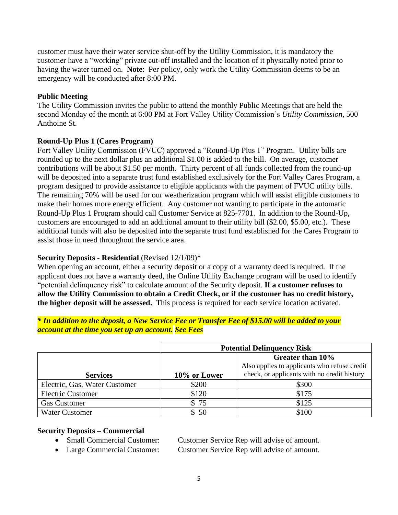customer must have their water service shut-off by the Utility Commission, it is mandatory the customer have a "working" private cut-off installed and the location of it physically noted prior to having the water turned on. **Note**: Per policy, only work the Utility Commission deems to be an emergency will be conducted after 8:00 PM.

# **Public Meeting**

The Utility Commission invites the public to attend the monthly Public Meetings that are held the second Monday of the month at 6:00 PM at Fort Valley Utility Commission's *Utility Commission*, 500 Anthoine St.

# **Round-Up Plus 1 (Cares Program)**

Fort Valley Utility Commission (FVUC) approved a "Round-Up Plus 1" Program. Utility bills are rounded up to the next dollar plus an additional \$1.00 is added to the bill. On average, customer contributions will be about \$1.50 per month. Thirty percent of all funds collected from the round-up will be deposited into a separate trust fund established exclusively for the Fort Valley Cares Program, a program designed to provide assistance to eligible applicants with the payment of FVUC utility bills. The remaining 70% will be used for our weatherization program which will assist eligible customers to make their homes more energy efficient. Any customer not wanting to participate in the automatic Round-Up Plus 1 Program should call Customer Service at 825-7701. In addition to the Round-Up, customers are encouraged to add an additional amount to their utility bill (\$2.00, \$5.00, etc.). These additional funds will also be deposited into the separate trust fund established for the Cares Program to assist those in need throughout the service area.

# **Security Deposits - Residential** (Revised 12/1/09)\*

When opening an account, either a security deposit or a copy of a warranty deed is required. If the applicant does not have a warranty deed, the Online Utility Exchange program will be used to identify "potential delinquency risk" to calculate amount of the Security deposit. **If a customer refuses to allow the Utility Commission to obtain a Credit Check, or if the customer has no credit history, the higher deposit will be assessed.** This process is required for each service location activated.

#### *\* In addition to the deposit, a New Service Fee or Transfer Fee of \$15.00 will be added to your account at the time you set up an account. See Fees*

|                               | <b>Potential Delinquency Risk</b> |                                                                  |  |
|-------------------------------|-----------------------------------|------------------------------------------------------------------|--|
|                               |                                   | Greater than 10%<br>Also applies to applicants who refuse credit |  |
| <b>Services</b>               | 10% or Lower                      | check, or applicants with no credit history                      |  |
| Electric, Gas, Water Customer | \$200                             | \$300                                                            |  |
| <b>Electric Customer</b>      | \$120                             | \$175                                                            |  |
| <b>Gas Customer</b>           | \$75                              | \$125                                                            |  |
| <b>Water Customer</b>         | \$50                              | \$100                                                            |  |

# **Security Deposits – Commercial**

• Small Commercial Customer: Customer Service Rep will advise of amount.

• Large Commercial Customer: Customer Service Rep will advise of amount.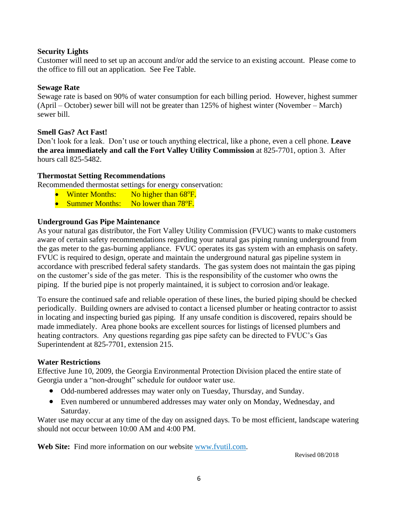#### **Security Lights**

Customer will need to set up an account and/or add the service to an existing account. Please come to the office to fill out an application. See Fee Table.

#### **Sewage Rate**

Sewage rate is based on 90% of water consumption for each billing period. However, highest summer (April – October) sewer bill will not be greater than 125% of highest winter (November – March) sewer bill.

# **Smell Gas? Act Fast!**

Don't look for a leak. Don't use or touch anything electrical, like a phone, even a cell phone. **Leave the area immediately and call the Fort Valley Utility Commission** at 825-7701, option 3. After hours call 825-5482.

#### **Thermostat Setting Recommendations**

Recommended thermostat settings for energy conservation:

- Winter Months: No higher than 68<sup>o</sup>F.
- Summer Months: No lower than 78<sup>o</sup>F.

#### **Underground Gas Pipe Maintenance**

As your natural gas distributor, the Fort Valley Utility Commission (FVUC) wants to make customers aware of certain safety recommendations regarding your natural gas piping running underground from the gas meter to the gas-burning appliance. FVUC operates its gas system with an emphasis on safety. FVUC is required to design, operate and maintain the underground natural gas pipeline system in accordance with prescribed federal safety standards. The gas system does not maintain the gas piping on the customer's side of the gas meter. This is the responsibility of the customer who owns the piping. If the buried pipe is not properly maintained, it is subject to corrosion and/or leakage.

To ensure the continued safe and reliable operation of these lines, the buried piping should be checked periodically. Building owners are advised to contact a licensed plumber or heating contractor to assist in locating and inspecting buried gas piping. If any unsafe condition is discovered, repairs should be made immediately. Area phone books are excellent sources for listings of licensed plumbers and heating contractors. Any questions regarding gas pipe safety can be directed to FVUC's Gas Superintendent at 825-7701, extension 215.

#### **Water Restrictions**

Effective June 10, 2009, the Georgia Environmental Protection Division placed the entire state of Georgia under a "non-drought" schedule for outdoor water use.

- Odd-numbered addresses may water only on Tuesday, Thursday, and Sunday.
- Even numbered or unnumbered addresses may water only on Monday, Wednesday, and Saturday.

Water use may occur at any time of the day on assigned days. To be most efficient, landscape watering should not occur between 10:00 AM and 4:00 PM.

**Web Site:** Find more information on our website [www.fvutil.com.](http://www.fvutil.com/)

Revised 08/2018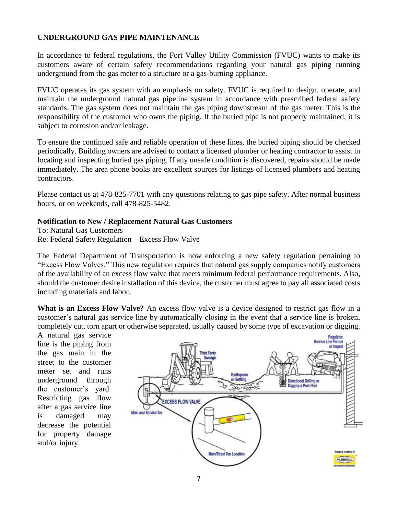#### **UNDERGROUND GAS PIPE MAINTENANCE**

In accordance to federal regulations, the Fort Valley Utility Commission (FVUC) wants to make its customers aware of certain safety recommendations regarding your natural gas piping running underground from the gas meter to a structure or a gas-burning appliance.

FVUC operates its gas system with an emphasis on safety. FVUC is required to design, operate, and maintain the underground natural gas pipeline system in accordance with prescribed federal safety standards. The gas system does not maintain the gas piping downstream of the gas meter. This is the responsibility of the customer who owns the piping. If the buried pipe is not properly maintained, it is subject to corrosion and/or leakage.

To ensure the continued safe and reliable operation of these lines, the buried piping should be checked periodically. Building owners are advised to contact a licensed plumber or heating contractor to assist in locating and inspecting buried gas piping. If any unsafe condition is discovered, repairs should be made immediately. The area phone books are excellent sources for listings of licensed plumbers and heating contractors.

Please contact us at 478-825-7701 with any questions relating to gas pipe safety. After normal business hours, or on weekends, call 478-825-5482.

#### **Notification to New / Replacement Natural Gas Customers**

To: Natural Gas Customers Re: Federal Safety Regulation – Excess Flow Valve

The Federal Department of Transportation is now enforcing a new safety regulation pertaining to "Excess Flow Valves." This new regulation requires that natural gas supply companies notify customers of the availability of an excess flow valve that meets minimum federal performance requirements. Also, should the customer desire installation of this device, the customer must agree to pay all associated costs including materials and labor.

**What is an Excess Flow Valve?** An excess flow valve is a device designed to restrict gas flow in a customer's natural gas service line by automatically closing in the event that a service line is broken, completely cut, torn apart or otherwise separated, usually caused by some type of excavation or digging.

A natural gas service line is the piping from the gas main in the street to the customer meter set and runs underground through the customer's yard. Restricting gas flow after a gas service line is damaged may decrease the potential for property damage and/or injury.